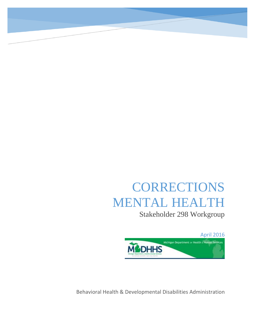## CORRECTIONS MENTAL HEALTH

Stakeholder 298 Workgroup

April 2016



Behavioral Health & Developmental Disabilities Administration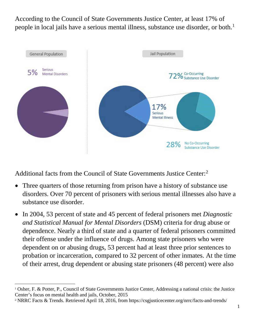According to the Council of State Governments Justice Center, at least 17% of people in local jails have a serious mental illness, substance use disorder, or both.<sup>[1](#page-1-0)</sup>



Additional facts from the Council of State Governments Justice Center:[2](#page-1-1)

- Three quarters of those returning from prison have a history of substance use disorders. Over 70 percent of prisoners with serious mental illnesses also have a substance use disorder.
- In 2004, 53 percent of state and 45 percent of federal prisoners met *Diagnostic and Statistical Manual for Mental Disorders* (DSM) criteria for drug abuse or dependence. Nearly a third of state and a quarter of federal prisoners committed their offense under the influence of drugs. Among state prisoners who were dependent on or abusing drugs, 53 percent had at least three prior sentences to probation or incarceration, compared to 32 percent of other inmates. At the time of their arrest, drug dependent or abusing state prisoners (48 percent) were also

<span id="page-1-0"></span> <sup>1</sup> Osher, F. & Potter, P., Council of State Governments Justice Center, Addressing a national crisis: the Justice Center's focus on mental health and jails, October, 2015

<span id="page-1-1"></span><sup>2</sup> NRRC Facts & Trends. Retrieved April 18, 2016, from https://csgjusticecenter.org/nrrc/facts-and-trends/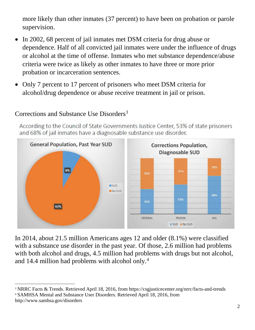more likely than other inmates (37 percent) to have been on probation or parole supervision.

- In 2002, 68 percent of jail inmates met DSM criteria for drug abuse or dependence. Half of all convicted jail inmates were under the influence of drugs or alcohol at the time of offense. Inmates who met substance dependence/abuse criteria were twice as likely as other inmates to have three or more prior probation or incarceration sentences.
- Only 7 percent to 17 percent of prisoners who meet DSM criteria for alcohol/drug dependence or abuse receive treatment in jail or prison.



## Corrections and Substance Use Disorders<sup>[3](#page-2-0)</sup>

According to the Council of State Governments Justice Center, 53% of state prisoners and 68% of jail inmates have a diagnosable substance use disorder.

In 2014, about 21.5 million Americans ages 12 and older (8.1%) were classified with a substance use disorder in the past year. Of those, 2.6 million had problems with both alcohol and drugs, 4.5 million had problems with drugs but not alcohol, and 14.4 million had problems with alcohol only[.4](#page-2-1)

<span id="page-2-1"></span><span id="page-2-0"></span> 3 NRRC Facts & Trends. Retrieved April 18, 2016, from https://csgjusticecenter.org/nrrc/facts-and-trends <sup>4</sup> SAMHSA Mental and Substance User Disorders. Retrieved April 18, 2016, from http://www.samhsa.gov/disorders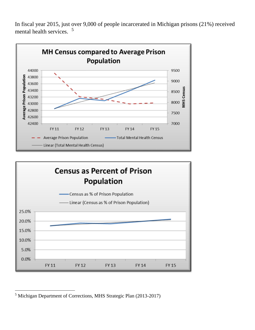In fiscal year 2015, just over 9,000 of people incarcerated in Michigan prisons (21%) received mental health services. [5](#page-3-0)





<span id="page-3-0"></span> <sup>5</sup> Michigan Department of Corrections, MHS Strategic Plan (2013-2017)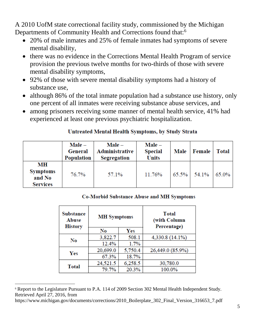A 2010 UofM state correctional facility study, commissioned by the Michigan Departments of Community Health and Corrections found that:<sup>[6](#page-4-0)</sup>

- 20% of male inmates and 25% of female inmates had symptoms of severe mental disability,
- there was no evidence in the Corrections Mental Health Program of service provision the previous twelve months for two-thirds of those with severe mental disability symptoms,
- 92% of those with severe mental disability symptoms had a history of substance use,
- although 86% of the total inmate population had a substance use history, only one percent of all inmates were receiving substance abuse services, and
- among prisoners receiving some manner of mental health service, 41% had experienced at least one previous psychiatric hospitalization.

|                                                    | <b>Male</b> –<br>General<br>Population | <b>Male</b> –<br>Administrative<br>Segregation | <b>Male</b> –<br><b>Special</b><br><b>Units</b> | Male     | Female | <b>Total</b> |
|----------------------------------------------------|----------------------------------------|------------------------------------------------|-------------------------------------------------|----------|--------|--------------|
| MН<br><b>Symptoms</b><br>and No<br><b>Services</b> | 76.7%                                  | 57.1%                                          | 11.76%                                          | $65.5\%$ | 54.1%  | $65.0\%$     |

## **Co-Morbid Substance Abuse and MH Symptoms**

| <b>Substance</b><br>Abuse<br><b>History</b> | <b>MH</b> Symptoms |         | Total<br>(with Column<br>Percentage) |  |
|---------------------------------------------|--------------------|---------|--------------------------------------|--|
|                                             | No                 | Yes     |                                      |  |
| No                                          | 3,822.7            | 508.1   | 4,330.8 (14.1%)                      |  |
|                                             | 12.4%              | 1.7%    |                                      |  |
| Yes                                         | 20,699.0           | 5,750.4 | 26,449.0 (85.9%)                     |  |
|                                             | 67.3%              | 18.7%   |                                      |  |
| <b>Total</b>                                | 24,521.5           | 6,258.5 | 30,780.0                             |  |
|                                             | 79.7%              | 20.3%   | 100.0%                               |  |

<span id="page-4-0"></span> <sup>6</sup> Report to the Legislature Pursuant to P.A. 114 of 2009 Section 302 Mental Health Independent Study. Retrieved April 27, 2016, from

https://www.michigan.gov/documents/corrections/2010\_Boilerplate\_302\_Final\_Version\_316653\_7.pdf